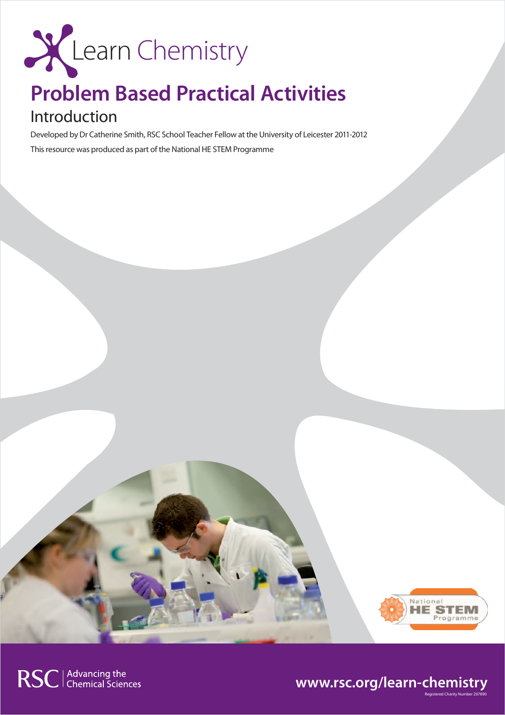

## **Problem Based Practical Activities**

## Introduction

Developed by Dr Catherine Smith, RSC School Teacher Fellow at the University of Leicester 2011-2012 This resource was produced as part of the National HE STEM Programme



## RSC | Advancing the<br>
Chemical Sciences



Registered Charity Number 207890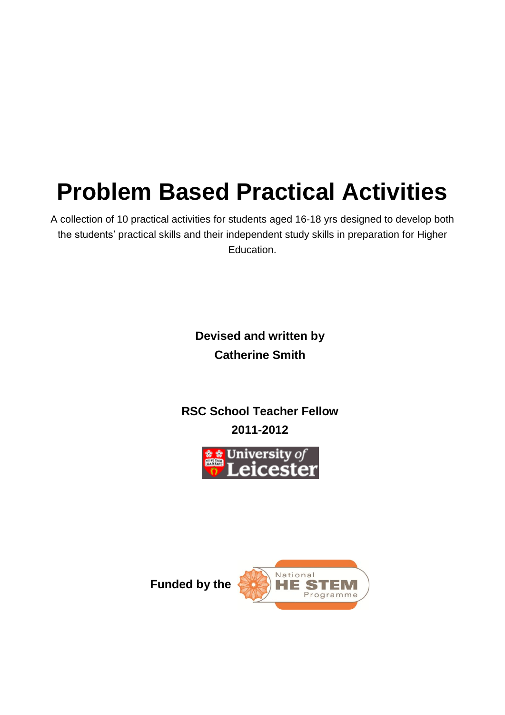# **Problem Based Practical Activities**

A collection of 10 practical activities for students aged 16-18 yrs designed to develop both the students' practical skills and their independent study skills in preparation for Higher Education.

> **Devised and written by Catherine Smith**

**RSC School Teacher Fellow 2011-2012**





**Funded by the**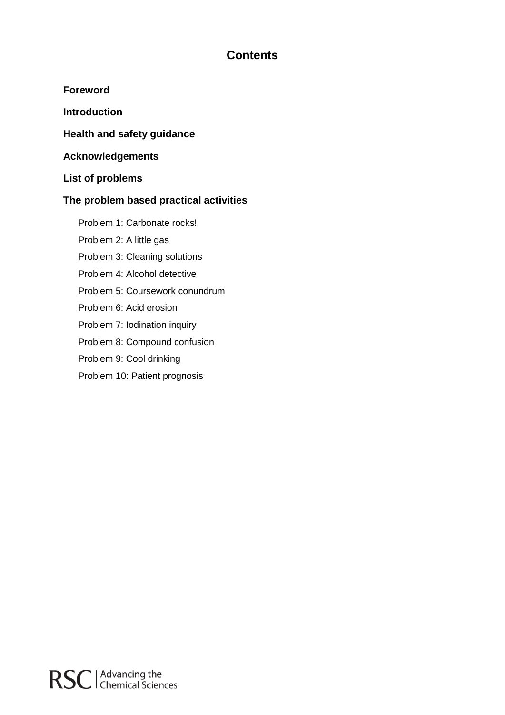## **Contents**

**Foreword**

**Introduction**

**Health and safety guidance**

**Acknowledgements**

**List of problems**

## **The problem based practical activities**

Problem 1: Carbonate rocks!

Problem 2: A little gas

Problem 3: Cleaning solutions

Problem 4: Alcohol detective

Problem 5: Coursework conundrum

Problem 6: Acid erosion

Problem 7: Iodination inquiry

Problem 8: Compound confusion

Problem 9: Cool drinking

Problem 10: Patient prognosis

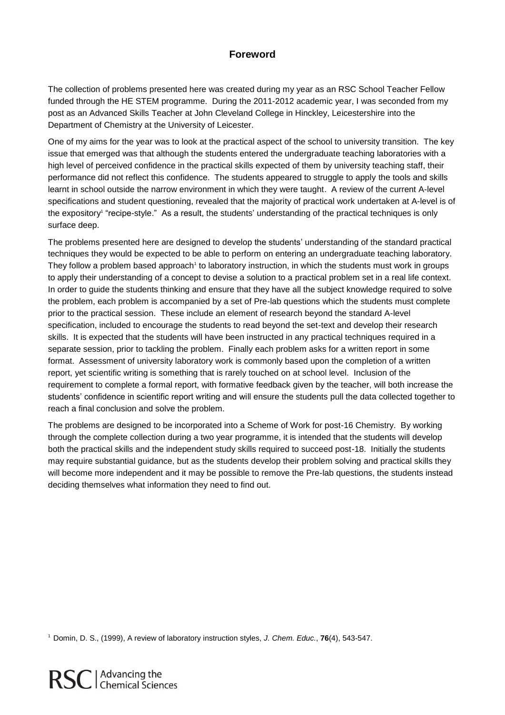## **Foreword**

The collection of problems presented here was created during my year as an RSC School Teacher Fellow funded through the HE STEM programme. During the 2011-2012 academic year, I was seconded from my post as an Advanced Skills Teacher at John Cleveland College in Hinckley, Leicestershire into the Department of Chemistry at the University of Leicester.

One of my aims for the year was to look at the practical aspect of the school to university transition. The key issue that emerged was that although the students entered the undergraduate teaching laboratories with a high level of perceived confidence in the practical skills expected of them by university teaching staff, their performance did not reflect this confidence. The students appeared to struggle to apply the tools and skills learnt in school outside the narrow environment in which they were taught. A review of the current A-level specifications and student questioning, revealed that the majority of practical work undertaken at A-level is of the expository<sup>1</sup> "recipe-style." As a result, the students' understanding of the practical techniques is only surface deep.

The problems presented here are designed to develop the students' understanding of the standard practical techniques they would be expected to be able to perform on entering an undergraduate teaching laboratory. They follow a problem based approach<sup>1</sup> to laboratory instruction, in which the students must work in groups to apply their understanding of a concept to devise a solution to a practical problem set in a real life context. In order to guide the students thinking and ensure that they have all the subject knowledge required to solve the problem, each problem is accompanied by a set of Pre-lab questions which the students must complete prior to the practical session. These include an element of research beyond the standard A-level specification, included to encourage the students to read beyond the set-text and develop their research skills. It is expected that the students will have been instructed in any practical techniques required in a separate session, prior to tackling the problem. Finally each problem asks for a written report in some format. Assessment of university laboratory work is commonly based upon the completion of a written report, yet scientific writing is something that is rarely touched on at school level. Inclusion of the requirement to complete a formal report, with formative feedback given by the teacher, will both increase the students' confidence in scientific report writing and will ensure the students pull the data collected together to reach a final conclusion and solve the problem.

The problems are designed to be incorporated into a Scheme of Work for post-16 Chemistry. By working through the complete collection during a two year programme, it is intended that the students will develop both the practical skills and the independent study skills required to succeed post-18. Initially the students may require substantial guidance, but as the students develop their problem solving and practical skills they will become more independent and it may be possible to remove the Pre-lab questions, the students instead deciding themselves what information they need to find out.

1 Domin, D. S., (1999), A review of laboratory instruction styles, *J. Chem. Educ.*, **76**(4), 543-547.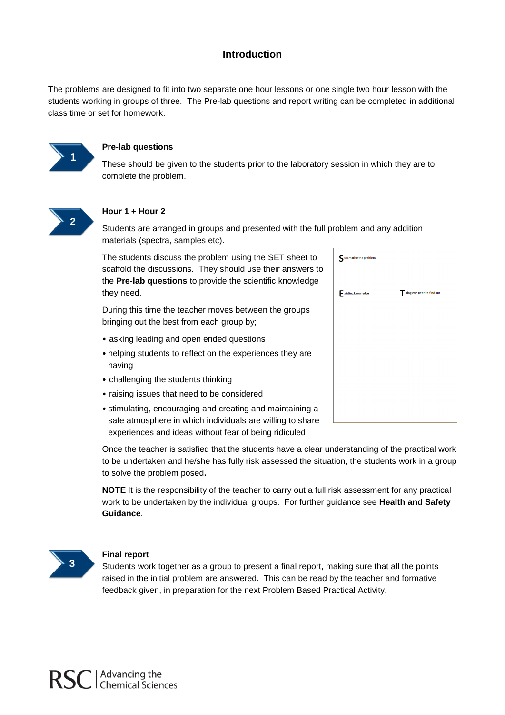### **Introduction**

The problems are designed to fit into two separate one hour lessons or one single two hour lesson with the students working in groups of three. The Pre-lab questions and report writing can be completed in additional class time or set for homework.



#### **Pre-lab questions**

These should be given to the students prior to the laboratory session in which they are to complete the problem.



#### **Hour 1 + Hour 2**

Students are arranged in groups and presented with the full problem and any addition materials (spectra, samples etc).

The students discuss the problem using the SET sheet to scaffold the discussions. They should use their answers to the **Pre-lab questions** to provide the scientific knowledge they need.

During this time the teacher moves between the groups bringing out the best from each group by;

- asking leading and open ended questions
- helping students to reflect on the experiences they are having
- challenging the students thinking
- raising issues that need to be considered
- stimulating, encouraging and creating and maintaining a safe atmosphere in which individuals are willing to share experiences and ideas without fear of being ridiculed

mmarise the problem hings we need to find out xisting knowledge

Once the teacher is satisfied that the students have a clear understanding of the practical work to be undertaken and he/she has fully risk assessed the situation, the students work in a group to solve the problem posed**.**

**NOTE** It is the responsibility of the teacher to carry out a full risk assessment for any practical work to be undertaken by the individual groups. For further guidance see **Health and Safety Guidance**.



#### **Final report**

Students work together as a group to present a final report, making sure that all the points raised in the initial problem are answered. This can be read by the teacher and formative feedback given, in preparation for the next Problem Based Practical Activity.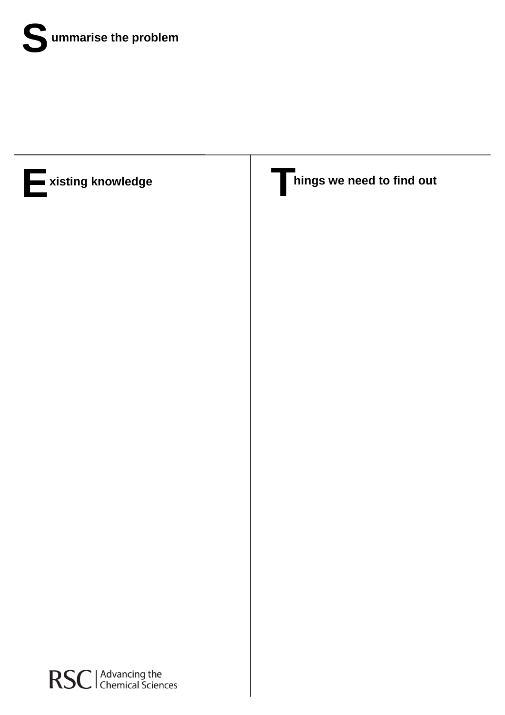



RSC | Advancing the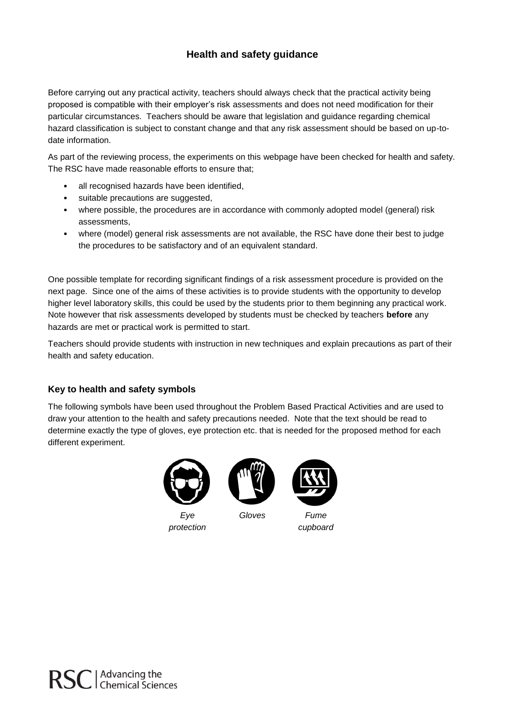## **Health and safety guidance**

Before carrying out any practical activity, teachers should always check that the practical activity being proposed is compatible with their employer's risk assessments and does not need modification for their particular circumstances. Teachers should be aware that legislation and guidance regarding chemical hazard classification is subject to constant change and that any risk assessment should be based on up-todate information.

As part of the reviewing process, the experiments on this webpage have been checked for health and safety. The RSC have made reasonable efforts to ensure that;

- all recognised hazards have been identified,
- suitable precautions are suggested,
- where possible, the procedures are in accordance with commonly adopted model (general) risk assessments,
- where (model) general risk assessments are not available, the RSC have done their best to judge the procedures to be satisfactory and of an equivalent standard.

One possible template for recording significant findings of a risk assessment procedure is provided on the next page. Since one of the aims of these activities is to provide students with the opportunity to develop higher level laboratory skills, this could be used by the students prior to them beginning any practical work. Note however that risk assessments developed by students must be checked by teachers **before** any hazards are met or practical work is permitted to start.

Teachers should provide students with instruction in new techniques and explain precautions as part of their health and safety education.

#### **Key to health and safety symbols**

The following symbols have been used throughout the Problem Based Practical Activities and are used to draw your attention to the health and safety precautions needed. Note that the text should be read to determine exactly the type of gloves, eye protection etc. that is needed for the proposed method for each different experiment.



*Eye protection*



*Gloves Fume cupboard*

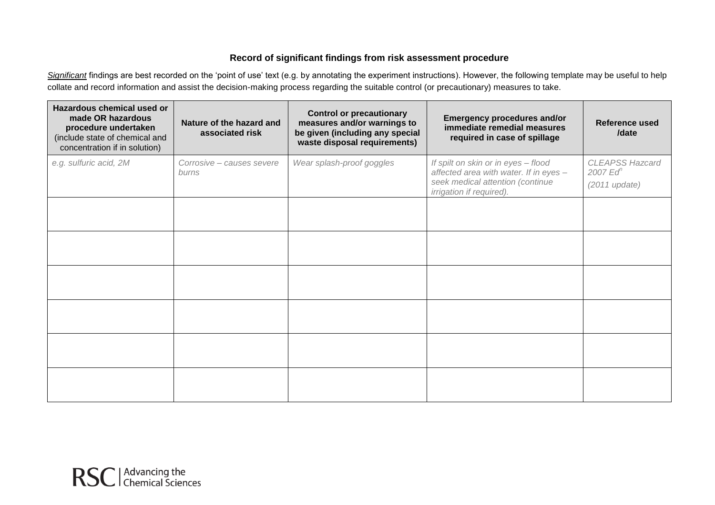### **Record of significant findings from risk assessment procedure**

Significant findings are best recorded on the 'point of use' text (e.g. by annotating the experiment instructions). However, the following template may be useful to help collate and record information and assist the decision-making process regarding the suitable control (or precautionary) measures to take.

| Hazardous chemical used or<br>made OR hazardous<br>procedure undertaken<br>(include state of chemical and<br>concentration if in solution) | Nature of the hazard and<br>associated risk | <b>Control or precautionary</b><br>measures and/or warnings to<br>be given (including any special<br>waste disposal requirements) | <b>Emergency procedures and/or</b><br>immediate remedial measures<br>required in case of spillage                                             | Reference used<br>/date                                   |
|--------------------------------------------------------------------------------------------------------------------------------------------|---------------------------------------------|-----------------------------------------------------------------------------------------------------------------------------------|-----------------------------------------------------------------------------------------------------------------------------------------------|-----------------------------------------------------------|
| e.g. sulfuric acid, 2M                                                                                                                     | Corrosive - causes severe<br>burns          | Wear splash-proof goggles                                                                                                         | If spilt on skin or in eyes - flood<br>affected area with water. If in eyes -<br>seek medical attention (continue<br>irrigation if required). | <b>CLEAPSS Hazcard</b><br>$2007$ $Edn$<br>$(2011$ update) |
|                                                                                                                                            |                                             |                                                                                                                                   |                                                                                                                                               |                                                           |
|                                                                                                                                            |                                             |                                                                                                                                   |                                                                                                                                               |                                                           |
|                                                                                                                                            |                                             |                                                                                                                                   |                                                                                                                                               |                                                           |
|                                                                                                                                            |                                             |                                                                                                                                   |                                                                                                                                               |                                                           |
|                                                                                                                                            |                                             |                                                                                                                                   |                                                                                                                                               |                                                           |
|                                                                                                                                            |                                             |                                                                                                                                   |                                                                                                                                               |                                                           |